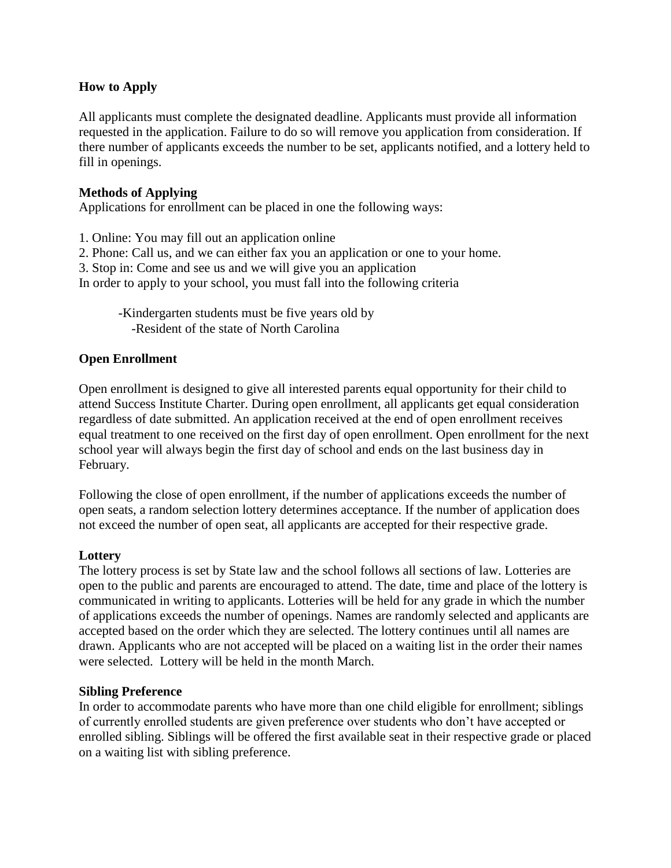# **How to Apply**

All applicants must complete the designated deadline. Applicants must provide all information requested in the application. Failure to do so will remove you application from consideration. If there number of applicants exceeds the number to be set, applicants notified, and a lottery held to fill in openings.

### **Methods of Applying**

Applications for enrollment can be placed in one the following ways:

- 1. Online: You may fill out an application online
- 2. Phone: Call us, and we can either fax you an application or one to your home.
- 3. Stop in: Come and see us and we will give you an application
- In order to apply to your school, you must fall into the following criteria
	- -Kindergarten students must be five years old by -Resident of the state of North Carolina

## **Open Enrollment**

Open enrollment is designed to give all interested parents equal opportunity for their child to attend Success Institute Charter. During open enrollment, all applicants get equal consideration regardless of date submitted. An application received at the end of open enrollment receives equal treatment to one received on the first day of open enrollment. Open enrollment for the next school year will always begin the first day of school and ends on the last business day in February.

Following the close of open enrollment, if the number of applications exceeds the number of open seats, a random selection lottery determines acceptance. If the number of application does not exceed the number of open seat, all applicants are accepted for their respective grade.

#### **Lottery**

The lottery process is set by State law and the school follows all sections of law. Lotteries are open to the public and parents are encouraged to attend. The date, time and place of the lottery is communicated in writing to applicants. Lotteries will be held for any grade in which the number of applications exceeds the number of openings. Names are randomly selected and applicants are accepted based on the order which they are selected. The lottery continues until all names are drawn. Applicants who are not accepted will be placed on a waiting list in the order their names were selected. Lottery will be held in the month March.

#### **Sibling Preference**

In order to accommodate parents who have more than one child eligible for enrollment; siblings of currently enrolled students are given preference over students who don't have accepted or enrolled sibling. Siblings will be offered the first available seat in their respective grade or placed on a waiting list with sibling preference.